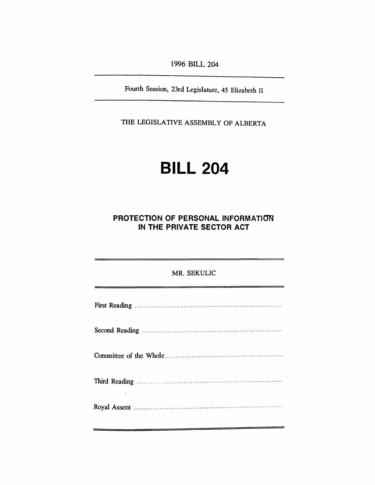*1996 BILL 204*

*Fourth Session, 23rd Legislature, 45 Elizabeth II*

*THE LEGISLATIVE ASSEMBLY OF ALBERTA*

# *BILL 204*

# *PROTECTION OF PERSONAL INFORMATION IN THE PRIVATE SECTOR ACT*

| MR. SEKULIC |
|-------------|
|             |
|             |
|             |
|             |
|             |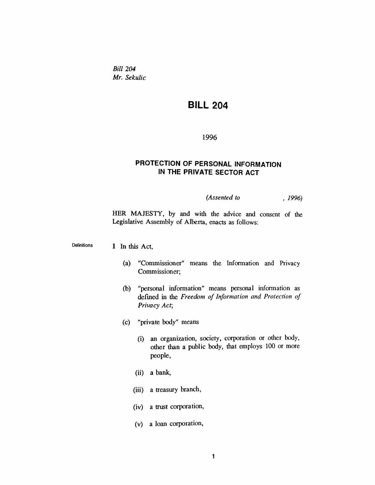*Bill 204 Mr. Sekulic*

# *BILL 204*

*1996*

# *PROTECTION OF PERSONAL INFORMATION IN THE PRIVATE SECTOR ACT*

*(Assented to , 1996)*

*HER MAJESTY, by and with the advice and consent of the Legislative Assembly of Alberta, enacts as follows:*

*Definitions <sup>1</sup> In this Act,*

- *(a) "Commissioner" means the Information and Privacy Commissioner;*
- *(b) "personal information" means personal information as defined in the Freedom of Information and Protection of Privacy Act;*
- *(c) "private body" means*
	- *(i) an organization, society, corporation or other body, other than a public body, that employs 100 or more people,*
	- *(ii) a bank,*
	- *(iii) a treasury branch,*
	- *(iv) a trust corporation,*
	- *(v) a loan corporation,*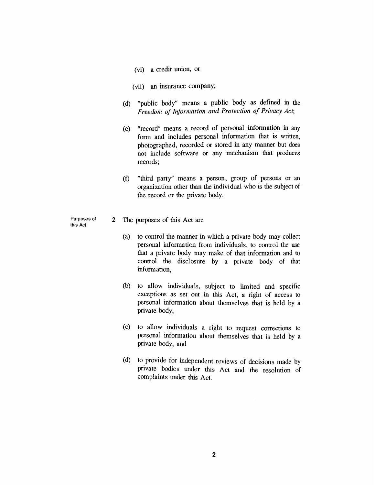- *(vi) a credit union, or*
- *(vii) an insurance company;*
- *(d) "public body" means a public body as defined in the Freedom of Information and Protection of Privacy Act;*
- *(e) "record" means a record of personal information in any form and includes personal information that is written, photographed, recorded or stored in any manner but does not include software or any mechanism that produces records;*
- *(f) "third party" means a person, group of persons or an organization other than the individual who is the subject of the record or the private body.*
- *Purposes of this Act 2 The purposes of this Act are*
	- *(a) to control the manner in which a private body may collect personal information from individuals, to control the use that a private body may make of that information and to control the disclosure by a private body of that information,*
	- *(b) to allow individuals, subject to limited and specific exceptions as set out in this Act, a right of access to personal information about themselves that is held by a private body,*
	- *(c) to allow individuals a right to request corrections to personal information about themselves that is held by a private body, and*
	- *(d) to provide for independent reviews of decisions made by private bodies under this Act and the resolution of complaints under this Act.*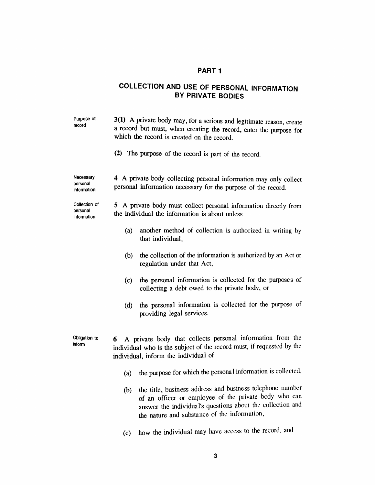# *PART <sup>1</sup>*

# *COLLECTION AND USE OF PERSONAL INFORMATION BY PRIVATE BODIES*

| Purpose of<br>record                     | 3(1) A private body may, for a serious and legitimate reason, create<br>a record but must, when creating the record, enter the purpose for<br>which the record is created on the record.<br>(2) The purpose of the record is part of the record. |                                                                                                                                                                                                                                      |  |  |
|------------------------------------------|--------------------------------------------------------------------------------------------------------------------------------------------------------------------------------------------------------------------------------------------------|--------------------------------------------------------------------------------------------------------------------------------------------------------------------------------------------------------------------------------------|--|--|
| Necessary<br>personal<br>information     | 4 A private body collecting personal information may only collect<br>personal information necessary for the purpose of the record.                                                                                                               |                                                                                                                                                                                                                                      |  |  |
| Collection of<br>personal<br>information | 5 A private body must collect personal information directly from<br>the individual the information is about unless                                                                                                                               |                                                                                                                                                                                                                                      |  |  |
|                                          | (a)                                                                                                                                                                                                                                              | another method of collection is authorized in writing by<br>that individual,                                                                                                                                                         |  |  |
|                                          | (b)                                                                                                                                                                                                                                              | the collection of the information is authorized by an Act or<br>regulation under that Act,                                                                                                                                           |  |  |
|                                          | (c)                                                                                                                                                                                                                                              | the personal information is collected for the purposes of<br>collecting a debt owed to the private body, or                                                                                                                          |  |  |
|                                          | (d)                                                                                                                                                                                                                                              | the personal information is collected for the purpose of<br>providing legal services.                                                                                                                                                |  |  |
| Obligation to<br>inform                  | A private body that collects personal information from the<br>6<br>individual who is the subject of the record must, if requested by the<br>individual, inform the individual of                                                                 |                                                                                                                                                                                                                                      |  |  |
|                                          | (a)                                                                                                                                                                                                                                              | the purpose for which the personal information is collected,                                                                                                                                                                         |  |  |
|                                          |                                                                                                                                                                                                                                                  | (b) the title, business address and business telephone number<br>of an officer or employee of the private body who can<br>answer the individual's questions about the collection and<br>the nature and substance of the information, |  |  |
|                                          | (c)                                                                                                                                                                                                                                              | how the individual may have access to the record, and                                                                                                                                                                                |  |  |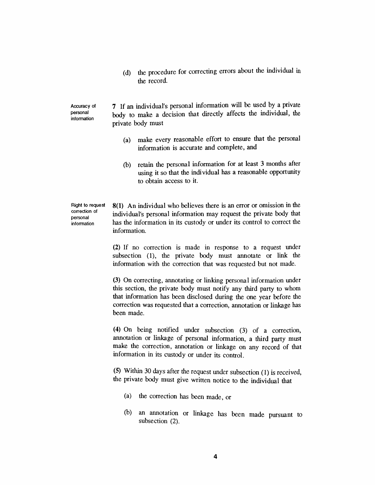*(d) the procedure for correcting errors about the individual in the record.*

*Accuracy of information 7 If an individual's personal information will be used by a private body to make a decision that directly affects the individual, the private body must*

- *(a) make every reasonable effort to ensure that the personal information is accurate and complete, and*
- *(b) retain the personal information for at least 3 months after using it so that the individual has a reasonable opportunity to obtain access to it.*

*Right to request correction of personal information*

*personal*

*8(1) An individual who believes there is an error or omission in the individual's personal information may request the private body that has the information in its custody or under its control to correct the information.*

*(2) If no correction is made in response to a request under subsection (1), the private body must annotate or link the information with the correction that was requested but not made.*

*(3) On correcting, annotating or linking personal information under this section, the private body must notify any third party to whom that information has been disclosed during the one year before the correction was requested that a correction, annotation or linkage has been made.*

*(4) On being notified under subsection (3) of a correction, annotation or linkage of personal information, a third party must make the correction, annotation or linkage on any record of that information in its custody or under its control.*

*(5) Within 30 days after the request under subsection (1) is received, the private body must give written notice to the individual that*

- *(a) the correction has been made, or*
- *(b) an annotation or linkage has been made pursuant to subsection (2).*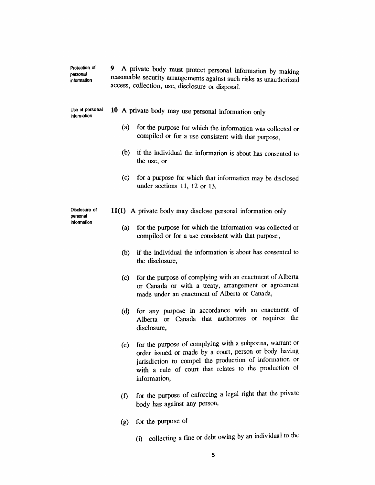| Protection of<br>personal<br>information | 9.<br>A private body must protect personal information by making<br>reasonable security arrangements against such risks as unauthorized<br>access, collection, use, disclosure or disposal. |     |                                                                                                                                                                                                                                                         |  |  |
|------------------------------------------|---------------------------------------------------------------------------------------------------------------------------------------------------------------------------------------------|-----|---------------------------------------------------------------------------------------------------------------------------------------------------------------------------------------------------------------------------------------------------------|--|--|
| Use of personal<br>information           |                                                                                                                                                                                             |     | 10 A private body may use personal information only                                                                                                                                                                                                     |  |  |
|                                          |                                                                                                                                                                                             | (a) | for the purpose for which the information was collected or<br>compiled or for a use consistent with that purpose,                                                                                                                                       |  |  |
|                                          |                                                                                                                                                                                             | (b) | if the individual the information is about has consented to<br>the use, or                                                                                                                                                                              |  |  |
|                                          |                                                                                                                                                                                             | (c) | for a purpose for which that information may be disclosed<br>under sections $11, 12$ or $13.$                                                                                                                                                           |  |  |
| Disclosure of<br>personal<br>information | 11(1) A private body may disclose personal information only                                                                                                                                 |     |                                                                                                                                                                                                                                                         |  |  |
|                                          |                                                                                                                                                                                             | (a) | for the purpose for which the information was collected or<br>compiled or for a use consistent with that purpose,                                                                                                                                       |  |  |
|                                          |                                                                                                                                                                                             | (b) | if the individual the information is about has consented to<br>the disclosure,                                                                                                                                                                          |  |  |
|                                          |                                                                                                                                                                                             | (c) | for the purpose of complying with an enactment of Alberta<br>or Canada or with a treaty, arrangement or agreement<br>made under an enactment of Alberta or Canada,                                                                                      |  |  |
|                                          |                                                                                                                                                                                             | (d) | for any purpose in accordance with an enactment of<br>or Canada that authorizes<br>requires the<br>$\alpha$<br>Alberta<br>disclosure,                                                                                                                   |  |  |
|                                          |                                                                                                                                                                                             | (e) | for the purpose of complying with a subpoena, warrant or<br>order issued or made by a court, person or body having<br>jurisdiction to compel the production of information or<br>with a rule of court that relates to the production of<br>information, |  |  |
|                                          |                                                                                                                                                                                             |     | (f) for the purpose of enforcing a legal right that the private                                                                                                                                                                                         |  |  |

*(g) for the purpose of*

*body has against any person,*

*(i) collecting a fine or debt owing by an individual to the*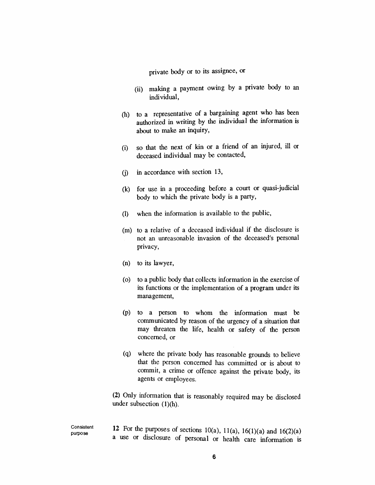*private body or to its assignee, or*

- *(ii) making a payment owing by a private body to an individual,*
- *(h) to a representative of a bargaining agent who has been authorized in writing by the individual the information is about to make an inquiry,*
- *(i) so that the next of kin or a friend of an injured, ill or deceased individual may be contacted,*
- *(j) in accordance with section 13,*
- *(k) for use in a proceeding before a court or quasi-judicial body to which the private body is a party,*
- *(l) when the information is available to the public,*
- *(m) to a relative of a deceased individual if the disclosure is not an unreasonable invasion of the deceased's personal privacy,*
- *(n) to its lawyer,*
- *(o) to a public body that collects information in the exercise of its functions or the implementation of a program under its management,*
- *(p) to a person to whom the information must be communicated by reason of the urgency of a situation that may threaten the life, health or safety of the person concerned, or*
- *(q) where the private body has reasonable grounds to believe that the person concerned has committed or is about to commit, a crime or offence against the private body, its agents or employees.*

*(2) Only information that is reasonably required may be disclosed under subsection (1)(h).*

*Consistent purpose 12 For the purposes of sections 10(a), 11(a), 16(1)(a) and 16(2)(a) a use or disclosure of personal or health care information is*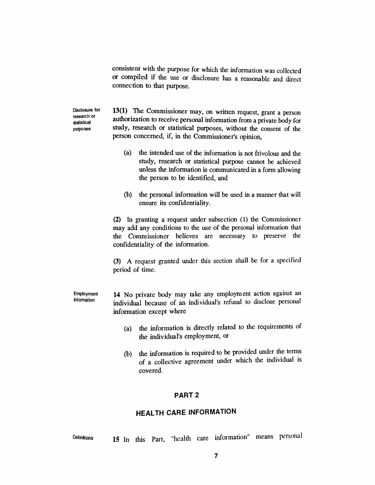*consistent with the purpose for which the information was collected or compiled if the use or disclosure has a reasonable and direct connection to that purpose.*

*Disclosure for research or statistical purposes*

*13(1) The Commissioner may, on written request, grant a person authorization to receive personal information from a private body for study, research or statistical purposes, without the consent of the person concerned, if, in the Commissioner's opinion,*

- *(a) the intended use of the information is not frivolous and the study, research or statistical purpose cannot be achieved unless the information is communicated in a form allowing the person to be identified, and*
- *(b) the personal information will be used in a manner that will ensure its confidentiality.*

*(2) In granting a request under subsection (1) the Commissioner may add any conditions to the use of the personal information that the Commissioner believes are necessary to preserve the confidentiality of the information.*

*(3) A request granted under this section shall be for a specified period of time.*

*Employment information 14 No private body may take any employment action against an individual because of an individual's refusal to disclose personal information except where*

- *(a) the information is directly related to the requirements of the individual's employment, or*
- *(b) the information is required to be provided under the terms of a collective agreement under which the individual is covered.*

#### *PART 2*

## *HEALTH CARE INFORMATION*

*Definitions 15 In this Part, "health care information" means personal*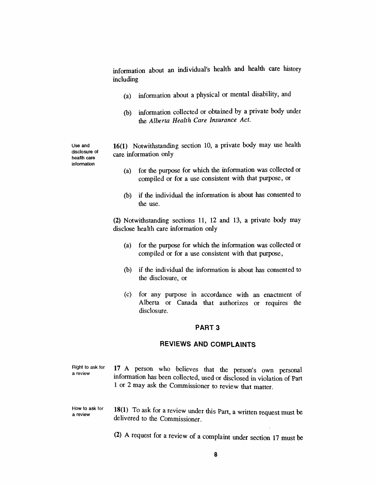*information about an individual's health and health care history including*

- *(a) information about a physical or mental disability, and*
- *(b) information collected or obtained by a private body under the Alberta Health Care Insurance Act.*

*Use and disclosure of health care information*

*16(1) Notwithstanding section 10, a private body may use health care information only*

- *(a) for the purpose for which the information was collected or compiled or for a use consistent with that purpose, or*
- *(b) if the individual the information is about has consented to the use.*

*(2) Notwithstanding sections 11, 12 and 13, a private body may disclose health care information only*

- *(a) for the purpose for which the information was collected or compiled or for a use consistent with that purpose,*
- *(b) if the individual the information is about has consented to the disclosure, or*
- *(c) for any purpose in accordance with an enactment of Alberta or Canada that authorizes or requires the disclosure.*

#### *PART 3*

## *REVIEWS AND COMPLAINTS*

*Right to ask for a review 17 A person who believes that the person's own personal information has been collected, used or disclosed in violation of Part <sup>1</sup> or 2 may ask the Commissioner to review that matter.*

- *How to ask for a review 18(1) To ask for a review under this Part, a written request must be delivered to the Commissioner.*
	- *(2) A request for a review of a complaint under section 17 must be*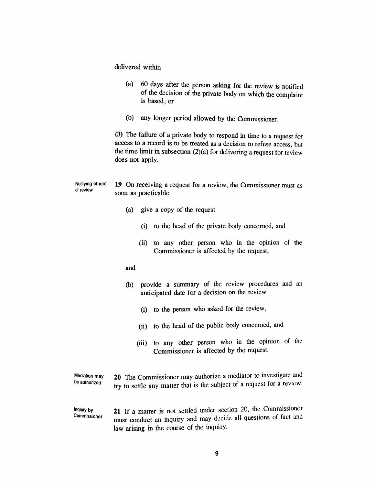*delivered within*

- *(a) 60 days after the person asking for the review is notified of the decision of the private body on which the complaint is based, or*
- *(b) any longer period allowed by the Commissioner.*

*(3) The failure of a private body to respond in time to a request for access to a record is to be treated as a decision to refuse access, but the time limit in subsection (2)(a) for delivering a request for review does not apply.*

*Notifying others of review 19 On receiving a request for a review, the Commissioner must as soon as practicable*

- *(a) give a copy of the request*
	- *(i) to the head of the private body concerned, and*
	- *(ii) to any other person who in the opinion of the Commissioner is affected by the request,*
- *and*
- *(b) provide a summary of the review procedures and an anticipated date for a decision on the review*
	- *(i) to the person who asked for the review,*
	- *(ii) to the head of the public body concerned, and*
	- *(iii) to any other person who in the opinion of the Commissioner is affected by the request.*

*Mediation may be authorized*

- *20 The Commissioner may authorize a mediator to investigate and try to settle any matter that is the subject of a request for a review.*
- *Inquiry by Commissioner 21 If a matter is not settled under section 20, the Commissioner must conduct an inquiry and may decide all questions of fact and law arising in the course of the inquiry.*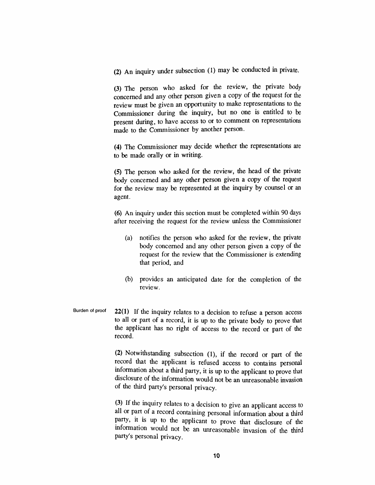*(2) An inquiry under subsection (1) may be conducted in private.*

*(3) The person who asked for the review, the private body concerned and any other person given a copy of the request for the review must be given an opportunity to make representations to the Commissioner during the inquiry, but no one is entitled to be present during, to have access to or to comment on representations made to the Commissioner by another person.*

*(4) The Commissioner may decide whether the representations are to be made orally or in writing.*

*(5) The person who asked for the review, the head of the private body concerned and any other person given a copy of the request for the review may be represented at the inquiry by counsel or an agent.*

*(6) An inquiry under this section must be completed within 90 days after receiving the request for the review unless the Commissioner*

- *(a) notifies the person who asked for the review, the private body concerned and any other person given a copy of the request for the review that the Commissioner is extending that period, and*
- *(b) provides an anticipated date for the completion of the review.*
- *Burden of proof 22(1) If the inquiry relates to a decision to refuse a person access to all or part of a record, it is up to the private body to prove that the applicant has no right of access to the record or part of the record.*

*(2) Notwithstanding subsection (1), if the record or part of the record that the applicant is refused access to contains personal information about a third party, it is up to the applicant to prove that disclosure of the information would not be an unreasonable invasion of the third party's personal privacy.*

*(3) If the inquiry relates to a decision to give an applicant access to all or part of a record containing personal information about a third party, it is up to the applicant to prove that disclosure of the information would not be an unreasonable invasion of the third party's personal privacy.*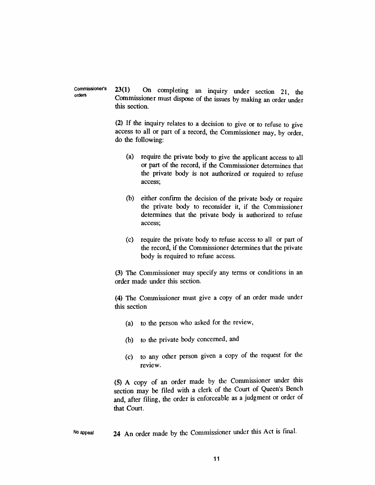*Commissioner's orders 23(1) On completing an inquiry under section 21, the Commissioner must dispose of the issues by making an order under this section.*

> *(2) If the inquiry relates to a decision to give or to refuse to give access to all or part of a record, the Commissioner may, by order, do the following:*

- *(a) require the private body to give the applicant access to all or part of the record, if the Commissioner determines that the private body is not authorized or required to refuse access;*
- *(b) either confirm the decision of the private body or require the private body to reconsider it, if the Commissioner determines that the private body is authorized to refuse access;*
- *(c) require the private body to refuse access to all or part of the record, if the Commissioner determines that the private body is required to refuse access.*

*(3) The Commissioner may specify any terms or conditions in an order made under this section.*

*(4) The Commissioner must give a copy of an order made under this section*

- *(a) to the person who asked for the review,*
- *(b) to the private body concerned, and*
- *(c) to any other person given a copy of the request for the review.*

*(5) A copy of an order made by the Commissioner under this section may be filed with a clerk of the Court of Queen s Bench and, after filing, the order is enforceable as a judgment or order of that Court.*

*No appeal 24 An order made by the Commissioner under this Act is final.*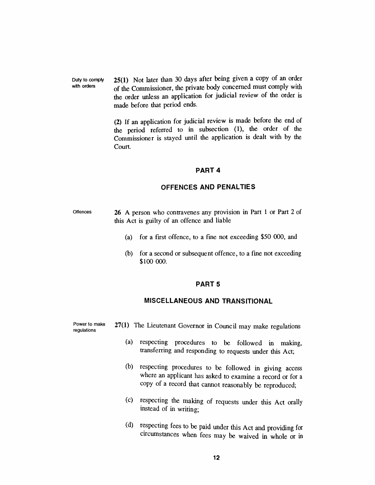*Duty to comply with orders 25(1) Not later than 30 days after being given a copy of an order of the Commissioner, the private body concerned must comply with the order unless an application for judicial review of the order is made before that period ends.*

> *(2) If an application for judicial review is made before the end of the period referred to in subsection (1), the order of the Commissioner is stayed until the application is dealt with by the Court.*

#### *PART 4*

#### *OFFENCES AND PENALTIES*

- *Offences 26 A person who contravenes any provision in Part <sup>1</sup> or Part 2 of this Act is guilty of an offence and liable*
	- *(a) for a first offence, to a fine not exceeding \$50 000, and*
	- *(b) for a second or subsequent offence, to a fine not exceeding \$100 000.*

## *PART 5*

## *MISCELLANEOUS AND TRANSITIONAL*

*Power to make regulations 27(1) The Lieutenant Governor in Council may make regulations*

- *(a) respecting procedures to be followed in making, transferring and responding to requests under this Act;*
- *(b) respecting procedures to be followed in giving access where an applicant has asked to examine a record or for a copy of a record that cannot reasonably be reproduced;*
- *(c) respecting the making of requests under this Act orally instead of in writing;*
- *(d) respecting fees to be paid under this Act and providing for circumstances when fees may be waived in whole or in*